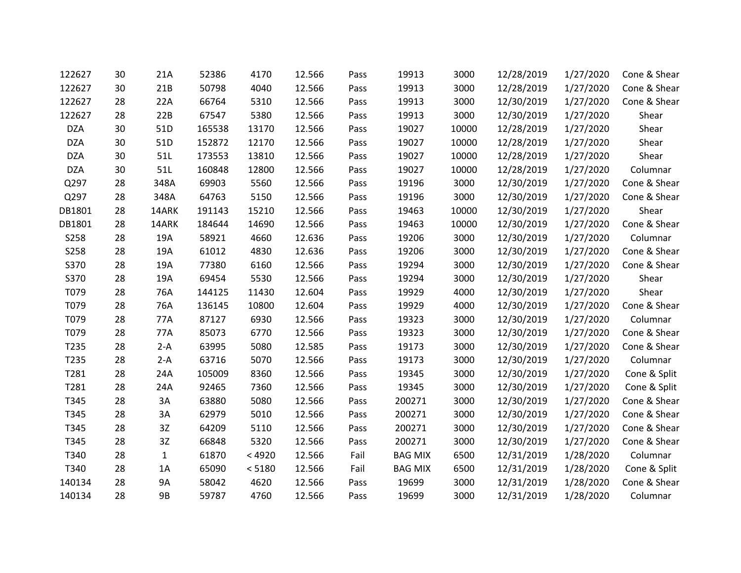| 122627     | 30 | 21A          | 52386  | 4170   | 12.566 | Pass | 19913          | 3000  | 12/28/2019 | 1/27/2020 | Cone & Shear |
|------------|----|--------------|--------|--------|--------|------|----------------|-------|------------|-----------|--------------|
| 122627     | 30 | 21B          | 50798  | 4040   | 12.566 | Pass | 19913          | 3000  | 12/28/2019 | 1/27/2020 | Cone & Shear |
| 122627     | 28 | 22A          | 66764  | 5310   | 12.566 | Pass | 19913          | 3000  | 12/30/2019 | 1/27/2020 | Cone & Shear |
| 122627     | 28 | 22B          | 67547  | 5380   | 12.566 | Pass | 19913          | 3000  | 12/30/2019 | 1/27/2020 | Shear        |
| <b>DZA</b> | 30 | 51D          | 165538 | 13170  | 12.566 | Pass | 19027          | 10000 | 12/28/2019 | 1/27/2020 | Shear        |
| <b>DZA</b> | 30 | 51D          | 152872 | 12170  | 12.566 | Pass | 19027          | 10000 | 12/28/2019 | 1/27/2020 | Shear        |
| <b>DZA</b> | 30 | 51L          | 173553 | 13810  | 12.566 | Pass | 19027          | 10000 | 12/28/2019 | 1/27/2020 | Shear        |
| <b>DZA</b> | 30 | 51L          | 160848 | 12800  | 12.566 | Pass | 19027          | 10000 | 12/28/2019 | 1/27/2020 | Columnar     |
| Q297       | 28 | 348A         | 69903  | 5560   | 12.566 | Pass | 19196          | 3000  | 12/30/2019 | 1/27/2020 | Cone & Shear |
| Q297       | 28 | 348A         | 64763  | 5150   | 12.566 | Pass | 19196          | 3000  | 12/30/2019 | 1/27/2020 | Cone & Shear |
| DB1801     | 28 | 14ARK        | 191143 | 15210  | 12.566 | Pass | 19463          | 10000 | 12/30/2019 | 1/27/2020 | Shear        |
| DB1801     | 28 | 14ARK        | 184644 | 14690  | 12.566 | Pass | 19463          | 10000 | 12/30/2019 | 1/27/2020 | Cone & Shear |
| S258       | 28 | 19A          | 58921  | 4660   | 12.636 | Pass | 19206          | 3000  | 12/30/2019 | 1/27/2020 | Columnar     |
| S258       | 28 | 19A          | 61012  | 4830   | 12.636 | Pass | 19206          | 3000  | 12/30/2019 | 1/27/2020 | Cone & Shear |
| S370       | 28 | 19A          | 77380  | 6160   | 12.566 | Pass | 19294          | 3000  | 12/30/2019 | 1/27/2020 | Cone & Shear |
| S370       | 28 | 19A          | 69454  | 5530   | 12.566 | Pass | 19294          | 3000  | 12/30/2019 | 1/27/2020 | Shear        |
| T079       | 28 | 76A          | 144125 | 11430  | 12.604 | Pass | 19929          | 4000  | 12/30/2019 | 1/27/2020 | Shear        |
| T079       | 28 | 76A          | 136145 | 10800  | 12.604 | Pass | 19929          | 4000  | 12/30/2019 | 1/27/2020 | Cone & Shear |
| T079       | 28 | 77A          | 87127  | 6930   | 12.566 | Pass | 19323          | 3000  | 12/30/2019 | 1/27/2020 | Columnar     |
| T079       | 28 | 77A          | 85073  | 6770   | 12.566 | Pass | 19323          | 3000  | 12/30/2019 | 1/27/2020 | Cone & Shear |
| T235       | 28 | $2-A$        | 63995  | 5080   | 12.585 | Pass | 19173          | 3000  | 12/30/2019 | 1/27/2020 | Cone & Shear |
| T235       | 28 | $2-A$        | 63716  | 5070   | 12.566 | Pass | 19173          | 3000  | 12/30/2019 | 1/27/2020 | Columnar     |
| T281       | 28 | 24A          | 105009 | 8360   | 12.566 | Pass | 19345          | 3000  | 12/30/2019 | 1/27/2020 | Cone & Split |
| T281       | 28 | 24A          | 92465  | 7360   | 12.566 | Pass | 19345          | 3000  | 12/30/2019 | 1/27/2020 | Cone & Split |
| T345       | 28 | 3A           | 63880  | 5080   | 12.566 | Pass | 200271         | 3000  | 12/30/2019 | 1/27/2020 | Cone & Shear |
| T345       | 28 | 3A           | 62979  | 5010   | 12.566 | Pass | 200271         | 3000  | 12/30/2019 | 1/27/2020 | Cone & Shear |
| T345       | 28 | 3Z           | 64209  | 5110   | 12.566 | Pass | 200271         | 3000  | 12/30/2019 | 1/27/2020 | Cone & Shear |
| T345       | 28 | 3Z           | 66848  | 5320   | 12.566 | Pass | 200271         | 3000  | 12/30/2019 | 1/27/2020 | Cone & Shear |
| T340       | 28 | $\mathbf{1}$ | 61870  | < 4920 | 12.566 | Fail | <b>BAG MIX</b> | 6500  | 12/31/2019 | 1/28/2020 | Columnar     |
| T340       | 28 | 1A           | 65090  | < 5180 | 12.566 | Fail | <b>BAG MIX</b> | 6500  | 12/31/2019 | 1/28/2020 | Cone & Split |
| 140134     | 28 | 9A           | 58042  | 4620   | 12.566 | Pass | 19699          | 3000  | 12/31/2019 | 1/28/2020 | Cone & Shear |
| 140134     | 28 | 9B           | 59787  | 4760   | 12.566 | Pass | 19699          | 3000  | 12/31/2019 | 1/28/2020 | Columnar     |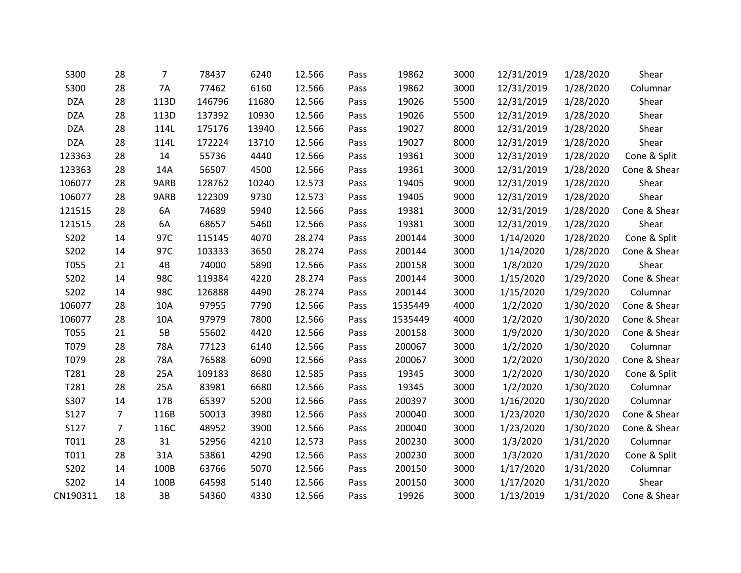| S300       | 28             | $\overline{7}$ | 78437  | 6240  | 12.566 | Pass | 19862   | 3000 | 12/31/2019 | 1/28/2020 | Shear        |
|------------|----------------|----------------|--------|-------|--------|------|---------|------|------------|-----------|--------------|
| S300       | 28             | <b>7A</b>      | 77462  | 6160  | 12.566 | Pass | 19862   | 3000 | 12/31/2019 | 1/28/2020 | Columnar     |
| <b>DZA</b> | 28             | 113D           | 146796 | 11680 | 12.566 | Pass | 19026   | 5500 | 12/31/2019 | 1/28/2020 | Shear        |
| <b>DZA</b> | 28             | 113D           | 137392 | 10930 | 12.566 | Pass | 19026   | 5500 | 12/31/2019 | 1/28/2020 | Shear        |
| <b>DZA</b> | 28             | 114L           | 175176 | 13940 | 12.566 | Pass | 19027   | 8000 | 12/31/2019 | 1/28/2020 | Shear        |
| <b>DZA</b> | 28             | 114L           | 172224 | 13710 | 12.566 | Pass | 19027   | 8000 | 12/31/2019 | 1/28/2020 | Shear        |
| 123363     | 28             | 14             | 55736  | 4440  | 12.566 | Pass | 19361   | 3000 | 12/31/2019 | 1/28/2020 | Cone & Split |
| 123363     | 28             | 14A            | 56507  | 4500  | 12.566 | Pass | 19361   | 3000 | 12/31/2019 | 1/28/2020 | Cone & Shear |
| 106077     | 28             | 9ARB           | 128762 | 10240 | 12.573 | Pass | 19405   | 9000 | 12/31/2019 | 1/28/2020 | Shear        |
| 106077     | 28             | 9ARB           | 122309 | 9730  | 12.573 | Pass | 19405   | 9000 | 12/31/2019 | 1/28/2020 | Shear        |
| 121515     | 28             | 6A             | 74689  | 5940  | 12.566 | Pass | 19381   | 3000 | 12/31/2019 | 1/28/2020 | Cone & Shear |
| 121515     | 28             | 6A             | 68657  | 5460  | 12.566 | Pass | 19381   | 3000 | 12/31/2019 | 1/28/2020 | Shear        |
| S202       | 14             | 97C            | 115145 | 4070  | 28.274 | Pass | 200144  | 3000 | 1/14/2020  | 1/28/2020 | Cone & Split |
| S202       | 14             | 97C            | 103333 | 3650  | 28.274 | Pass | 200144  | 3000 | 1/14/2020  | 1/28/2020 | Cone & Shear |
| T055       | 21             | 4B             | 74000  | 5890  | 12.566 | Pass | 200158  | 3000 | 1/8/2020   | 1/29/2020 | Shear        |
| S202       | 14             | 98C            | 119384 | 4220  | 28.274 | Pass | 200144  | 3000 | 1/15/2020  | 1/29/2020 | Cone & Shear |
| S202       | 14             | 98C            | 126888 | 4490  | 28.274 | Pass | 200144  | 3000 | 1/15/2020  | 1/29/2020 | Columnar     |
| 106077     | 28             | 10A            | 97955  | 7790  | 12.566 | Pass | 1535449 | 4000 | 1/2/2020   | 1/30/2020 | Cone & Shear |
| 106077     | 28             | 10A            | 97979  | 7800  | 12.566 | Pass | 1535449 | 4000 | 1/2/2020   | 1/30/2020 | Cone & Shear |
| T055       | 21             | 5B             | 55602  | 4420  | 12.566 | Pass | 200158  | 3000 | 1/9/2020   | 1/30/2020 | Cone & Shear |
| T079       | 28             | 78A            | 77123  | 6140  | 12.566 | Pass | 200067  | 3000 | 1/2/2020   | 1/30/2020 | Columnar     |
| T079       | 28             | 78A            | 76588  | 6090  | 12.566 | Pass | 200067  | 3000 | 1/2/2020   | 1/30/2020 | Cone & Shear |
| T281       | 28             | 25A            | 109183 | 8680  | 12.585 | Pass | 19345   | 3000 | 1/2/2020   | 1/30/2020 | Cone & Split |
| T281       | 28             | 25A            | 83981  | 6680  | 12.566 | Pass | 19345   | 3000 | 1/2/2020   | 1/30/2020 | Columnar     |
| S307       | 14             | 17B            | 65397  | 5200  | 12.566 | Pass | 200397  | 3000 | 1/16/2020  | 1/30/2020 | Columnar     |
| S127       | $\overline{7}$ | 116B           | 50013  | 3980  | 12.566 | Pass | 200040  | 3000 | 1/23/2020  | 1/30/2020 | Cone & Shear |
| S127       | $\overline{7}$ | 116C           | 48952  | 3900  | 12.566 | Pass | 200040  | 3000 | 1/23/2020  | 1/30/2020 | Cone & Shear |
| T011       | 28             | 31             | 52956  | 4210  | 12.573 | Pass | 200230  | 3000 | 1/3/2020   | 1/31/2020 | Columnar     |
| T011       | 28             | 31A            | 53861  | 4290  | 12.566 | Pass | 200230  | 3000 | 1/3/2020   | 1/31/2020 | Cone & Split |
| S202       | 14             | 100B           | 63766  | 5070  | 12.566 | Pass | 200150  | 3000 | 1/17/2020  | 1/31/2020 | Columnar     |
| S202       | 14             | 100B           | 64598  | 5140  | 12.566 | Pass | 200150  | 3000 | 1/17/2020  | 1/31/2020 | Shear        |
| CN190311   | 18             | 3B             | 54360  | 4330  | 12.566 | Pass | 19926   | 3000 | 1/13/2019  | 1/31/2020 | Cone & Shear |